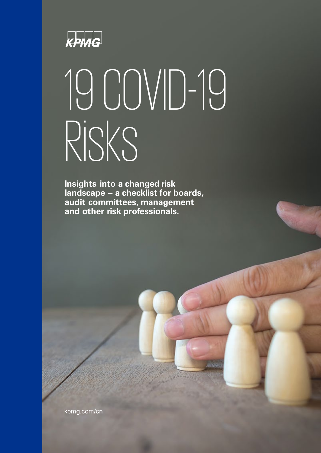

# 19 COVID-19 Risks

**Insights into a changed risk landscape – a checklist for boards, audit committees, management and other risk professionals.**

kpmg.com/cn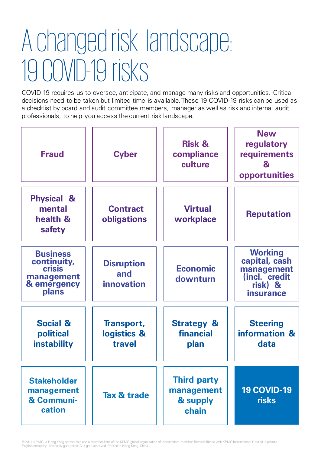### A changedrisk landscape: Dear all, 19 COVID-19 risks

COVID-19 requires us to oversee, anticipate, and manage many risks and opportunities. Critical decisions need to be taken but limited time is available. These 19 COVID-19 risks can be used as a checklist by board and audit committee members, manager as well as risk and internal audit professionals, to help you access the current risk landscape.

| <b>Fraud</b>                                                                          | <b>Cyber</b>                                  | <b>Risk &amp;</b><br>compliance<br>culture            | <b>New</b><br>regulatory<br>requirements<br>$\mathbf{a}$<br>opportunities              |
|---------------------------------------------------------------------------------------|-----------------------------------------------|-------------------------------------------------------|----------------------------------------------------------------------------------------|
| <b>Physical &amp;</b><br>mental<br>health &<br>safety                                 | <b>Contract</b><br>obligations                | <b>Virtual</b><br>workplace                           | <b>Reputation</b>                                                                      |
| <b>Business</b><br>continuity,<br><b>crisis</b><br>management<br>& emergency<br>plans | <b>Disruption</b><br>and<br><b>innovation</b> | <b>Economic</b><br>downturn                           | <b>Working</b><br>capital, cash<br>management<br>(incl. credit<br>risk) &<br>insurance |
| <b>Social &amp;</b><br>political<br><b>instability</b>                                | Transport,<br>logistics &<br>travel           | <b>Strategy &amp;</b><br>financial<br>plan            | <b>Steering</b><br>information &<br>data                                               |
| <b>Stakeholder</b><br>management<br>& Communi-<br>cation                              | Tax & trade                                   | <b>Third party</b><br>management<br>& supply<br>chain | <b>19 COVID-19</b><br><b>risks</b>                                                     |

© 2021 KPMG, a Hong Kong partnership and a member firm of the KPMG global organisation of independent member firms affiliated with KPMG International Limited, a private English company limited by guarantee. All rights reserved. Printed in Hong Kong, China.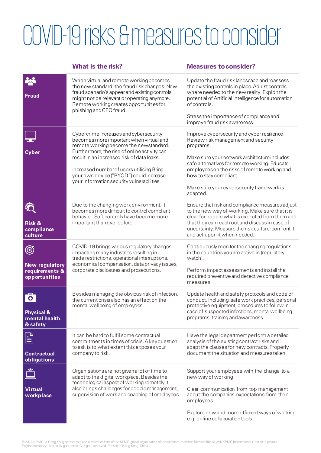### COVID-19 risks &measures to consider

### **What is the risk? Measures toconsider? Pol** When virtual and remote working becomes Update the fraud risk landscape and reassess the new standard, the fraud risk changes.New the existing controls in place. Adjust controls fraud scenario's appear and existing controls where needed to the new reality. Exploit the **Fraud** might not be relevant or operating anymore. potential of Artificial Intelligence for automation Remote working creates opportunities for of controls. phishing and CEO fraud. Stress the importance of complianceand improve fraud risk awareness. Cybercrime increases and cybersecurity Improve cybersecurity and cyber resilience. becomes more important when virtual and Review risk management and security remote working become the newstandard. programs. Furthermore, the rise of online activity can **Cyber** result in an increased risk of data leaks. Make sure your network architecture includes safe alternatives for remote working. Educate Increased number of users utilising Bring employees on the risks of remote working and your own device ("BYOD") could increase how to stay compliant. your information security vulnerabilities. Make sure your cybersecurity framework is adapted. Due to the changing work environment, it Ensure that risk and compliance measures adjust  $\ddot{\odot}$ becomes more difficult to control compliant to the new way of working. Make sure that it is behavior. Soft controls have become more clear for people what is expected from them and **Risk &**  important than everbefore. that they can reach out and discuss in case of uncertainty. Measure the risk culture, confront it **compliance**  and act upon it when needed. **culture** COVID-19 brings various regulatory changes Continuously monitor the changing regulations ගි impacting many industries resultingin in the countries you are active in (regulatory trade restrictions, operational interruptions, watch). economical compensation, data privacy issues, **New regulatory requirements &** corporate disclosures and prosecutions. Perform impact assessments and install the required preventive and detective compliance **opportunities** measures. Besides managing the obvious risk of infection, Update health and safety protocols and code of  $\bullet$ conduct. Including: safe work practices, personal the current crisis also has an effect on the mental wellbeing of employees. protective equipment, procedures to follow in case of suspected infections, mental wellbeing **Physical &**  programs, training andawareness. **mental health & safety**  $\mathop{\boxdot}$ It can be hard to fulfil some contractual Have the legal department perform a detailed commitments in times of crisis. A keyquestion analysis of the existing contract risks and to ask is to what extent this exposes your adapt the clauses for new contracts. Properly company to risk. document the situation and measurestaken. **Contractual obligations** Organisations are not given a lot of time to Support your employees with the change to a adapt to the digital workplace. Besides the new way of working. technological aspect of working remotely it also brings challenges for peoplemanagement, **Virtual**  Clear communication from top management supervision of work and coaching of employees. about the companies expectations from their **workplace** employees.

Explore new and more efficient ways ofworking e.g.online collaborationtools.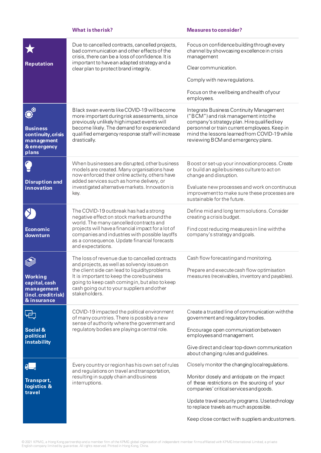### **What is the risk? Measures to consider?** Due to cancelled contracts, cancelled projects, Focus on confidence building throughevery bad communication and other effects of the channel by showcasing excellence in crisis crisis, there can be a loss of confidence. It is management important to have an adapted strategy and a **Reputation** Clear communication. clear plan to protect brand integrity. Comply with newregulations. Focus on the wellbeing and health ofyour employees.  $\odot^\circ$ Black swan events like COVID-19 will become Integrate Business Continuity Management more important during risk assessments, since ("BCM") and risk management into the previously unlikely high impact events will company's strategy plan. Hire qualified key become likely. The demand for experienced and personnel or train current employees. Keep in **Business**  qualified emergency response staff will increase mind the lessons learned from COVID-19 while **continuity,crisis**  drastically. reviewing BCM and emergency plans. **management &emergency plans**

| <b>Disruption and</b><br>innovation                                        | When businesses are disrupted, other business<br>models are created. Many organisations have<br>now enforced their online activity, others have<br>added services such as home delivery, or<br>investigated alternative markets. Innovation is<br>key.                                                        | Boost or set-up your innovation process. Create<br>or build an agile business culture to act on<br>change and disruption.<br>Evaluate new processes and work on continuous<br>improvement to make sure these processes are<br>sustainable for the future. |
|----------------------------------------------------------------------------|---------------------------------------------------------------------------------------------------------------------------------------------------------------------------------------------------------------------------------------------------------------------------------------------------------------|-----------------------------------------------------------------------------------------------------------------------------------------------------------------------------------------------------------------------------------------------------------|
| Economic<br>downturn                                                       | The COVID-19 outbreak has had a strong<br>negative effect on stock markets around the<br>world. The many cancelled contracts and<br>projects will have a financial impact for a lot of<br>companies and industries with possible layoffs<br>as a consequence. Update financial forecasts<br>and expectations. | Define mid and long term solutions. Consider<br>creating a crisis budget.<br>Find cost reducing measures in line with the<br>company's strategy and goals.                                                                                                |
| Working<br>capital, cash<br>management<br>(incl.creditrisk)<br>& insurance | The loss of revenue due to cancelled contracts<br>and projects, as well as solvency issues on<br>the client side can lead to liquidityproblems.<br>It is important to keep the corebusiness<br>going to keep cash coming in, but also to keep<br>cash going out to your suppliers and other<br>stakeholders.  | Cash flow forecasting and monitoring.<br>Prepare and execute cash flow optimisation<br>measures (receivables, inventory and payables).                                                                                                                    |
| 4±]<br>Social &<br>political<br>instability                                | COVID-19 impacted the political environment<br>of many countries. There is possibly a new<br>sense of authority where the government and<br>regulatory bodies are playing a central role.                                                                                                                     | Create a trusted line of communication with the<br>government and regulatory bodies.<br>Encourage open communication between<br>employees and management.<br>Give direct and clear top-down communication<br>about changing rules and guidelines.         |
| Transport,<br>logistics &<br>travel                                        | Every country or region has his own set of rules<br>and regulations on travel and transportation,<br>resulting in supply chain and business<br>interruptions.                                                                                                                                                 | Closely monitor the changing local regulations.<br>Monitor closely and anticipate on the impact<br>of these restrictions on the sourcing of your<br>companies' critical services and goods.                                                               |

Update travel security programs. Usetechnology to replace travels as much aspossible.

Keep close contact with suppliers andcustomers.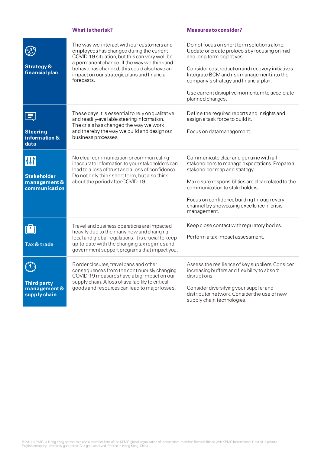### **What is the risk? Measures to consider?**

| <b>Strategy &amp;</b><br>financial plan                   | The way we interact with our customers and<br>employeeshas changed during the current<br>COVID-19 situation, but this can very well be<br>a permanent change. If the way we thinkand<br>behave has changed, this could also have an<br>impact on our strategic plans and financial<br>forecasts. | Do not focus on short term solutions alone.<br>Update or create protocols by focusing on mid<br>and long term objectives.<br>Consider cost reduction and recovery initiatives.<br>Integrate BCM and risk management into the<br>company's strategy and financial plan.<br>Use current disruptive momentum to accelerate<br>planned changes. |
|-----------------------------------------------------------|--------------------------------------------------------------------------------------------------------------------------------------------------------------------------------------------------------------------------------------------------------------------------------------------------|---------------------------------------------------------------------------------------------------------------------------------------------------------------------------------------------------------------------------------------------------------------------------------------------------------------------------------------------|
| <b>Steering</b><br>information &<br>data                  | These days it is essential to rely on qualitative<br>and readily-available steering information.<br>The crisis has changed the way we work<br>and thereby the way we build and design our<br>business processes.                                                                                 | Define the required reports and insights and<br>assign a task force to build it.<br>Focus on datamanagement.                                                                                                                                                                                                                                |
| HĦ<br><b>Stakeholder</b><br>management &<br>communication | No clear communication or communicating<br>inaccurate information to your stakeholders can<br>lead to a loss of trust and a loss of confidence.<br>Do not only think short term, but also think<br>about the period after COVID-19.                                                              | Communicate clear and genuine with all<br>stakeholders to manage expectations. Prepare a<br>stakeholder map and strategy.<br>Make sure responsibilities are clear related to the<br>communication to stakeholders.<br>Focus on confidence building through every<br>channel by showcasing excellence in crisis<br>management.               |
| ⊺'⊺<br>Tax & trade                                        | Travel and business operations are impacted<br>heavily due to the many new and changing<br>local and global regulations. It is crucial to keep<br>up-to-date with the changing tax regimes and<br>government support programs that impact you.                                                   | Keep close contact with regulatory bodies.<br>Perform a tax impact assessment.                                                                                                                                                                                                                                                              |
| <b>Third party</b><br>management &<br>supply chain        | Border closures, travelbans and other<br>consequences from the continuously changing<br>COVID-19 measures have a big impact on our<br>supply chain. A loss of availability to critical<br>goods and resources can lead to major losses.                                                          | Assess the resilience of key suppliers. Consider<br>increasing buffers and flexibility to absorb<br>disruptions.<br>Consider diversifying your supplier and<br>distributor network. Consider the use of new<br>supply chain technologies.                                                                                                   |